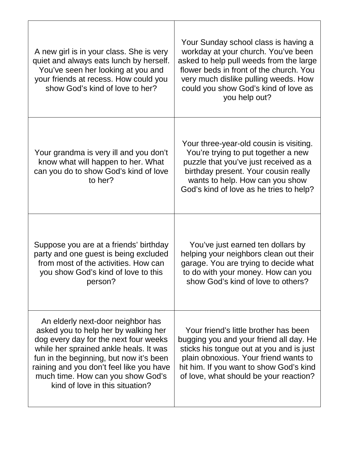| A new girl is in your class. She is very<br>quiet and always eats lunch by herself.<br>You've seen her looking at you and<br>your friends at recess. How could you<br>show God's kind of love to her?                                                                                                                       | Your Sunday school class is having a<br>workday at your church. You've been<br>asked to help pull weeds from the large<br>flower beds in front of the church. You<br>very much dislike pulling weeds. How<br>could you show God's kind of love as<br>you help out? |
|-----------------------------------------------------------------------------------------------------------------------------------------------------------------------------------------------------------------------------------------------------------------------------------------------------------------------------|--------------------------------------------------------------------------------------------------------------------------------------------------------------------------------------------------------------------------------------------------------------------|
| Your grandma is very ill and you don't<br>know what will happen to her. What<br>can you do to show God's kind of love<br>to her?                                                                                                                                                                                            | Your three-year-old cousin is visiting.<br>You're trying to put together a new<br>puzzle that you've just received as a<br>birthday present. Your cousin really<br>wants to help. How can you show<br>God's kind of love as he tries to help?                      |
| Suppose you are at a friends' birthday<br>party and one guest is being excluded<br>from most of the activities. How can<br>you show God's kind of love to this<br>person?                                                                                                                                                   | You've just earned ten dollars by<br>helping your neighbors clean out their<br>garage. You are trying to decide what<br>to do with your money. How can you<br>show God's kind of love to others?                                                                   |
| An elderly next-door neighbor has<br>asked you to help her by walking her<br>dog every day for the next four weeks<br>while her sprained ankle heals. It was<br>fun in the beginning, but now it's been<br>raining and you don't feel like you have<br>much time. How can you show God's<br>kind of love in this situation? | Your friend's little brother has been<br>bugging you and your friend all day. He<br>sticks his tongue out at you and is just<br>plain obnoxious. Your friend wants to<br>hit him. If you want to show God's kind<br>of love, what should be your reaction?         |